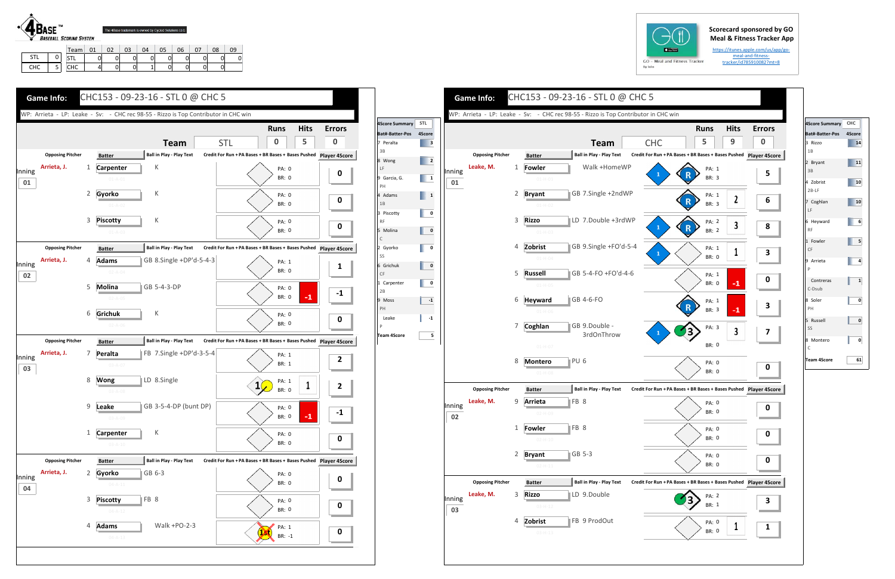## **Scorecard sponsored by GO Meal & Fitness Tracker App**

https://itunes.apple.com/us/app/go‐ meal‐and‐fitness‐ tracker/id785910082?mt=8



1 | 0 CHC I 5

STL | 0 | 0 | 0 | 0 | 0 | 0 | 0 | 0 CHC | 4| 0| 0| 1| 0| 0| 0| 0

| $GO - M$ |  |
|----------|--|
| By Iolo  |  |
|          |  |
|          |  |

| <b>Game Info:</b>                                      |                                                                                                                | CHC153 - 09-23-16 - STL 0 @ CHC 5                                                   |                                                                                                                                                     |                                             |                                                                                                                                                                                                                                                                                   | <b>Game Info:</b>                    | CHC153 - 09-23-16 - STL 0 @ CHC 5                                                                                                                                                                               |                                                                                                                                                                  |                                  |
|--------------------------------------------------------|----------------------------------------------------------------------------------------------------------------|-------------------------------------------------------------------------------------|-----------------------------------------------------------------------------------------------------------------------------------------------------|---------------------------------------------|-----------------------------------------------------------------------------------------------------------------------------------------------------------------------------------------------------------------------------------------------------------------------------------|--------------------------------------|-----------------------------------------------------------------------------------------------------------------------------------------------------------------------------------------------------------------|------------------------------------------------------------------------------------------------------------------------------------------------------------------|----------------------------------|
|                                                        |                                                                                                                | WP: Arrieta - LP: Leake - Sv: - CHC rec 98-55 - Rizzo is Top Contributor in CHC win |                                                                                                                                                     |                                             |                                                                                                                                                                                                                                                                                   |                                      | WP: Arrieta - LP: Leake - Sv: - CHC rec 98-55 - Rizzo is Top Contributor in CHC win                                                                                                                             |                                                                                                                                                                  |                                  |
|                                                        |                                                                                                                | <b>Team</b>                                                                         | <b>Runs</b><br>5<br><b>STL</b><br>$\mathbf{0}$                                                                                                      | <b>Hits</b><br><b>Errors</b><br>$\mathbf 0$ | 4Score Summary STL<br>Bat#-Batter-Pos 4Score<br>$\begin{array}{ c c } \hline \end{array}$ 3<br>7 Peralta                                                                                                                                                                          |                                      | <b>Team</b>                                                                                                                                                                                                     | <b>Runs</b><br><b>CHC</b><br>5                                                                                                                                   | <b>Hits</b><br>9                 |
| <b>Opposing Pitcher</b><br>Arrieta, J.<br>Inning<br>01 | <b>Batter</b><br><b>Carpenter</b><br>$01 - A - 01$<br>2 Gyorko<br>$01 - A - 02$<br>3 Piscotty<br>$01 - A - 03$ | <b>Ball in Play - Play Text</b><br>К<br>К<br>К                                      | Credit For Run + PA Bases + BR Bases + Bases Pushed Player 4Score<br>PA: 0<br><b>BR: 0</b><br>PA: 0<br><b>BR: 0</b><br><b>PA: 0</b><br><b>BR: 0</b> | $\mathbf 0$<br>$\mathbf 0$<br>$\mathbf 0$   | $\overline{\phantom{a}}$ 2<br>8 Wong<br>Inning<br>$\begin{array}{ c c }\n\hline\n\hline\n\end{array}$<br>9 Garcia, G.<br>01<br>$\begin{array}{ c c c }\n\hline\n\hline\n\end{array}$ 1<br>4 Adams<br>$\overline{\mathbf{0}}$<br>3 Piscotty<br>5 Molina<br>$\overline{\mathbf{0}}$ | <b>Opposing Pitcher</b><br>Leake, M. | <b>Ball in Play - Play Text</b><br><b>Batter</b><br>Walk +HomeWP<br>1<br>Fowler<br>$01 - H - 01$<br>GB 7.Single +2ndWP<br>2 Bryant<br>$01 - H - 02$<br>LD 7.Double +3rdWP<br>3<br><b>Rizzo</b><br>$01 - H - 03$ | Credit For Run + PA Bases + BR Bases + Bases Pushed Player 49<br>PA: 1<br>$\mathbf R$<br>BR: 3<br>PA: 1<br>$\mathbb{R}$<br>BR: 3<br>PA: 2<br>(R)<br><b>BR: 2</b> | $\boldsymbol{2}$<br>$\mathbf{3}$ |
| <b>Opposing Pitcher</b><br>Arrieta, J.<br>Inning<br>02 | <b>Batter</b><br><b>Adams</b><br>$02 - A - 04$<br>5 Molina<br>$02 - A - 05$<br>6 Grichuk<br>$02 - A - 06$      | <b>Ball in Play - Play Text</b><br>GB 8.Single +DP'd-5-4-3<br>GB 5-4-3-DP<br>К      | Credit For Run + PA Bases + BR Bases + Bases Pushed Player 4Score<br>PA: 1<br>BR: 0<br>PA: 0<br><b>BR: 0</b><br>PA: 0<br><b>BR: 0</b>               | $\mathbf{1}$<br>$-1$<br>$-1$<br>$\mathbf 0$ | 2 Gyorko<br>$\overline{\mathbf{0}}$<br>6 Grichuk<br>$\overline{\mathbf{0}}$<br>$\overline{\mathbf{0}}$<br>1 Carpenter<br>$-1$<br>9 Moss<br>Leake<br>$-1$                                                                                                                          |                                      | GB 9.Single +FO'd-5-4<br>Zobrist<br>$\overline{4}$<br>$01 - H - 04$<br>GB 5-4-FO +FO'd-4-6<br>5 Russell<br>$01 - H - 05$<br>6 Heyward<br>GB 4-6-FO<br>$01-H-06$<br>Coghlan<br>GB 9.Double -<br>7                | PA: 1<br>BR: 0<br>PA: 1<br><b>BR: 0</b><br>PA: 1<br><b>BR: 3</b><br>PA: 3                                                                                        |                                  |
| <b>Opposing Pitcher</b><br>Arrieta, J.<br>Inning<br>03 | <b>Batter</b><br>7 Peralta<br>$03 - A - 07$<br>8 Wong                                                          | <b>Ball in Play - Play Text</b><br>FB 7.Single +DP'd-3-5-4<br>LD 8.Single           | Credit For Run + PA Bases + BR Bases + Bases Pushed Player 4Score<br>PA: 1<br>BR: 1<br>PA: 1                                                        | $\mathbf{2}$                                | <b>Team 4Score</b><br>$5\overline{5}$                                                                                                                                                                                                                                             |                                      | 3rdOnThrow<br>$01 - H - 07$<br>8 Montero<br>PU <sub>6</sub><br>$01-H-08$                                                                                                                                        | $\frac{1}{3}$<br>BR: 0<br><b>PA: 0</b><br><b>BR: 0</b>                                                                                                           | $\overline{\mathbf{3}}$          |
|                                                        | $03 - A - 08$<br>9 Leake<br>03-A-09<br>1 Carpenter<br>$03 - A - 10$                                            | GB 3-5-4-DP (bunt DP)<br>К                                                          | <b>BR: 0</b><br><b>PA: 0</b><br><b>BR: 0</b><br><b>PA: 0</b><br>BR: 0                                                                               | $\mathbf{2}$<br>$-1$<br>$-1$<br>$\mathbf 0$ | Inning<br>02                                                                                                                                                                                                                                                                      | <b>Opposing Pitcher</b><br>Leake, M. | <b>Ball in Play - Play Text</b><br><b>Batter</b><br>FB 8<br>9 Arrieta<br>$\parallel$ FB 8<br>1 <b>Fowler</b><br>$02 - H - 10$                                                                                   | Credit For Run + PA Bases + BR Bases + Bases Pushed Player 49<br>PA: 0<br>BR: 0<br>PA: 0<br>BR: 0                                                                |                                  |
| <b>Opposing Pitcher</b><br>Arrieta, J.<br>Inning<br>04 | <b>Batter</b><br>2 Gyorko<br>$04 - A - 11$<br>3 <b>Piscotty</b><br>$04 - A - 12$                               | <b>Ball in Play - Play Text</b><br>$ GB 6-3 $<br>FB 8                               | Credit For Run + PA Bases + BR Bases + Bases Pushed Player 4Score<br>PA: 0<br><b>BR: 0</b><br><b>PA: 0</b><br><b>BR: 0</b>                          | 0<br>$\mathbf 0$                            | Inning<br>03                                                                                                                                                                                                                                                                      | <b>Opposing Pitcher</b><br>Leake, M. | GB 5-3<br>2 Bryant<br>$02 - H - 11$<br><b>Ball in Play - Play Text</b><br><b>Batter</b><br>3<br><b>Rizzo</b><br>LD 9.Double<br>$03 - H - 12$<br>Zobrist<br>FB 9 ProdOut<br>4                                    | PA: 0<br>BR: 0<br>Credit For Run + PA Bases + BR Bases + Bases Pushed Player 49<br>PA: 2<br>BR: 1<br><b>PA: 0</b>                                                |                                  |





| 4Score Summary CHC     |        |
|------------------------|--------|
| Bat#-Batter-Pos        | 4Score |
| 3 Rizzo<br>1B          | 14     |
| 2 Bryant<br>3B         | 11     |
| 4 Zobrist<br>$2B-LF$   | 10     |
| 7 Coghlan<br>LF        | 10     |
| 6 Heyward<br><b>RF</b> | 6      |
| 1 Fowler<br>CF         | 5      |
| 9 Arrieta<br>P         | 4      |
| Contreras<br>C-Dsub    | 1      |
| 8 Soler<br>PH          | 0      |
| 5 Russell<br>SS        | 0      |
| 8 Montero<br>C         | 0      |
| <b>Team 4Score</b>     | 61     |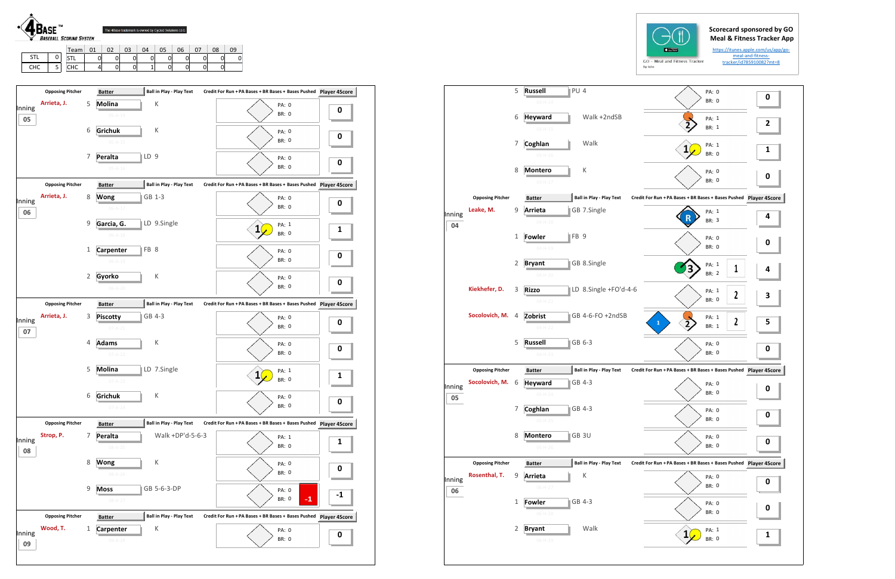| <b>BASEBALL SCORING SYSTEM</b> |     |                          |      |    |    | The 4Base trademark is owned by Cycled Solutions LLC. |    |    |    |    |    |    |
|--------------------------------|-----|--------------------------|------|----|----|-------------------------------------------------------|----|----|----|----|----|----|
|                                |     |                          | Team | 01 | 02 | 03                                                    | 04 | 05 | 06 | 07 | 08 | 09 |
|                                | --- | $\overline{\phantom{a}}$ |      |    |    |                                                       |    |    |    |    |    |    |

| GO | м       |
|----|---------|
|    | By Iolo |





|                         | 5                                                                                     | PU <sub>4</sub><br><b>Russell</b><br>$03 - H - 14$ |                                                                                                                                       | PA: 0<br><b>BR: 0</b>                                                                                                                                                                                                                                          | 0                                                                                                                                                                                                                                                                                        |
|-------------------------|---------------------------------------------------------------------------------------|----------------------------------------------------|---------------------------------------------------------------------------------------------------------------------------------------|----------------------------------------------------------------------------------------------------------------------------------------------------------------------------------------------------------------------------------------------------------------|------------------------------------------------------------------------------------------------------------------------------------------------------------------------------------------------------------------------------------------------------------------------------------------|
|                         | 6                                                                                     | <b>Heyward</b>                                     | Walk +2ndSB                                                                                                                           | PA: 1                                                                                                                                                                                                                                                          | $\overline{\mathbf{c}}$                                                                                                                                                                                                                                                                  |
|                         | 7                                                                                     | Coghlan                                            | Walk                                                                                                                                  | PA: 1                                                                                                                                                                                                                                                          | 1                                                                                                                                                                                                                                                                                        |
|                         |                                                                                       | $03 - H - 16$                                      |                                                                                                                                       | <b>BR: 0</b>                                                                                                                                                                                                                                                   |                                                                                                                                                                                                                                                                                          |
|                         |                                                                                       | $03-H-17$                                          |                                                                                                                                       | <b>BR: 0</b>                                                                                                                                                                                                                                                   | 0                                                                                                                                                                                                                                                                                        |
| <b>Opposing Pitcher</b> |                                                                                       | <b>Batter</b>                                      |                                                                                                                                       |                                                                                                                                                                                                                                                                |                                                                                                                                                                                                                                                                                          |
| Leake, M.               | 9                                                                                     | Arrieta<br>$04 - H - 18$                           |                                                                                                                                       | PA: 1<br><b>BR: 3</b>                                                                                                                                                                                                                                          | 4                                                                                                                                                                                                                                                                                        |
|                         | 1                                                                                     | <b>Fowler</b>                                      |                                                                                                                                       | PA: 0                                                                                                                                                                                                                                                          | 0                                                                                                                                                                                                                                                                                        |
|                         | 2                                                                                     | <b>Bryant</b>                                      |                                                                                                                                       | PA: 1                                                                                                                                                                                                                                                          | 4                                                                                                                                                                                                                                                                                        |
|                         |                                                                                       | $04-H-20$                                          |                                                                                                                                       |                                                                                                                                                                                                                                                                |                                                                                                                                                                                                                                                                                          |
| Kiekhefer, D.           | 3                                                                                     | <b>Rizzo</b><br>$04 - H - 21$                      |                                                                                                                                       | PA: 1<br>2<br><b>BR: 0</b>                                                                                                                                                                                                                                     | З                                                                                                                                                                                                                                                                                        |
| Socolovich, M.          | 4                                                                                     | Zobrist<br>$04 - H - 22$                           |                                                                                                                                       | PA: 1<br>2<br>1<br>BR: 1                                                                                                                                                                                                                                       | 5                                                                                                                                                                                                                                                                                        |
|                         | 5                                                                                     | <b>Russell</b>                                     |                                                                                                                                       | PA: 0<br>BR: 0                                                                                                                                                                                                                                                 | 0                                                                                                                                                                                                                                                                                        |
|                         |                                                                                       |                                                    |                                                                                                                                       |                                                                                                                                                                                                                                                                |                                                                                                                                                                                                                                                                                          |
|                         |                                                                                       |                                                    |                                                                                                                                       |                                                                                                                                                                                                                                                                |                                                                                                                                                                                                                                                                                          |
|                         |                                                                                       | $05-H-24$                                          |                                                                                                                                       | <b>BR: 0</b>                                                                                                                                                                                                                                                   | 0                                                                                                                                                                                                                                                                                        |
|                         | 7                                                                                     | Coghlan<br>05-H-25                                 |                                                                                                                                       | PA: 0<br>BR: 0                                                                                                                                                                                                                                                 | 0                                                                                                                                                                                                                                                                                        |
|                         | 8                                                                                     | <b>Montero</b>                                     |                                                                                                                                       | PA: 0                                                                                                                                                                                                                                                          | 0                                                                                                                                                                                                                                                                                        |
|                         |                                                                                       |                                                    |                                                                                                                                       |                                                                                                                                                                                                                                                                |                                                                                                                                                                                                                                                                                          |
|                         |                                                                                       |                                                    |                                                                                                                                       |                                                                                                                                                                                                                                                                |                                                                                                                                                                                                                                                                                          |
|                         |                                                                                       | $06-H-27$                                          |                                                                                                                                       | BR: 0                                                                                                                                                                                                                                                          | 0                                                                                                                                                                                                                                                                                        |
|                         | 1                                                                                     | <b>Fowler</b><br>$06-H-28$                         |                                                                                                                                       | PA: 0<br>BR: 0                                                                                                                                                                                                                                                 | 0                                                                                                                                                                                                                                                                                        |
|                         | 2                                                                                     | <b>Bryant</b>                                      | Walk                                                                                                                                  | PA: 1                                                                                                                                                                                                                                                          |                                                                                                                                                                                                                                                                                          |
|                         | <b>Opposing Pitcher</b><br>Socolovich, M.<br><b>Opposing Pitcher</b><br>Rosenthal, T. | 8<br>6<br>9                                        | $03-H-15$<br><b>Montero</b><br>$04 - H - 19$<br>$04-H-23$<br><b>Batter</b><br><b>Heyward</b><br>$05-H-26$<br><b>Batter</b><br>Arrieta | Κ<br><b>Ball in Play - Play Text</b><br>GB 7.Single<br>FB <sub>9</sub><br>GB 8.Single<br>LD 8.Single +FO'd-4-6<br>GB 4-6-FO +2ndSB<br>GB 6-3<br><b>Ball in Play - Play Text</b><br>GB 4-3<br>GB 4-3<br>GB 3U<br><b>Ball in Play - Play Text</b><br>Κ<br>GB 4-3 | BR: 1<br>PA: 0<br>Credit For Run + PA Bases + BR Bases + Bases Pushed Player 4S<br><b>BR: 0</b><br>1<br><b>BR: 2</b><br>Credit For Run + PA Bases + BR Bases + Bases Pushed Player 4S<br><b>PA: 0</b><br>BR: 0<br>Credit For Run + PA Bases + BR Bases + Bases Pushed Player 4S<br>PA: 0 |